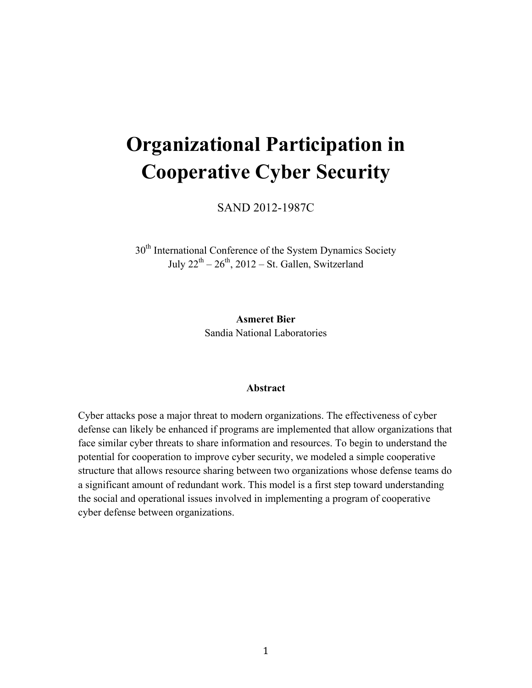# **Organizational Participation in Cooperative Cyber Security**

SAND 2012-1987C

30<sup>th</sup> International Conference of the System Dynamics Society July  $22^{th} - 26^{th}$ ,  $2012 - St.$  Gallen, Switzerland

> **Asmeret Bier** Sandia National Laboratories

#### **Abstract**

Cyber attacks pose a major threat to modern organizations. The effectiveness of cyber defense can likely be enhanced if programs are implemented that allow organizations that face similar cyber threats to share information and resources. To begin to understand the potential for cooperation to improve cyber security, we modeled a simple cooperative structure that allows resource sharing between two organizations whose defense teams do a significant amount of redundant work. This model is a first step toward understanding the social and operational issues involved in implementing a program of cooperative cyber defense between organizations.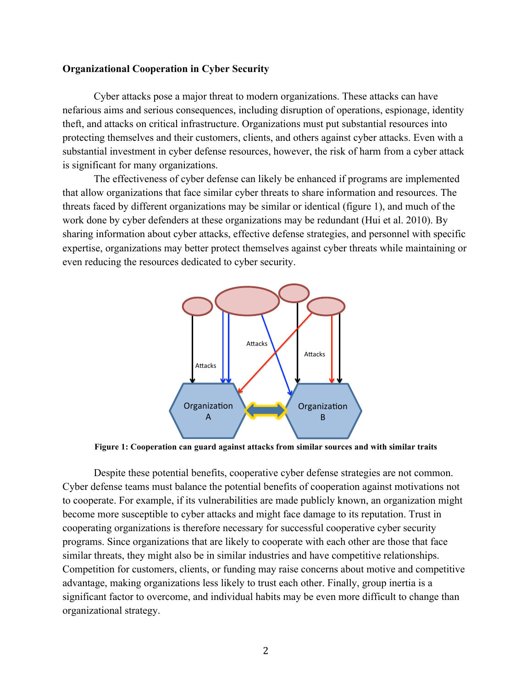# **Organizational Cooperation in Cyber Security**

Cyber attacks pose a major threat to modern organizations. These attacks can have nefarious aims and serious consequences, including disruption of operations, espionage, identity theft, and attacks on critical infrastructure. Organizations must put substantial resources into protecting themselves and their customers, clients, and others against cyber attacks. Even with a substantial investment in cyber defense resources, however, the risk of harm from a cyber attack is significant for many organizations.

The effectiveness of cyber defense can likely be enhanced if programs are implemented that allow organizations that face similar cyber threats to share information and resources. The threats faced by different organizations may be similar or identical (figure 1), and much of the work done by cyber defenders at these organizations may be redundant (Hui et al. 2010). By sharing information about cyber attacks, effective defense strategies, and personnel with specific expertise, organizations may better protect themselves against cyber threats while maintaining or even reducing the resources dedicated to cyber security.



**Figure 1: Cooperation can guard against attacks from similar sources and with similar traits**

Despite these potential benefits, cooperative cyber defense strategies are not common. Cyber defense teams must balance the potential benefits of cooperation against motivations not to cooperate. For example, if its vulnerabilities are made publicly known, an organization might become more susceptible to cyber attacks and might face damage to its reputation. Trust in cooperating organizations is therefore necessary for successful cooperative cyber security programs. Since organizations that are likely to cooperate with each other are those that face similar threats, they might also be in similar industries and have competitive relationships. Competition for customers, clients, or funding may raise concerns about motive and competitive advantage, making organizations less likely to trust each other. Finally, group inertia is a significant factor to overcome, and individual habits may be even more difficult to change than organizational strategy.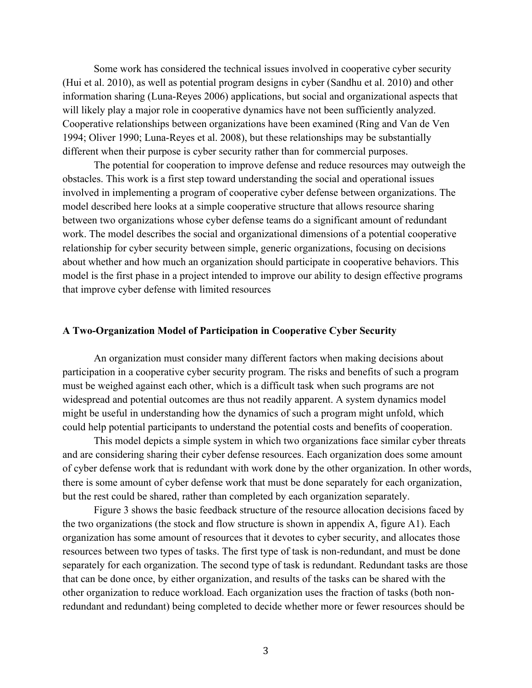Some work has considered the technical issues involved in cooperative cyber security (Hui et al. 2010), as well as potential program designs in cyber (Sandhu et al. 2010) and other information sharing (Luna-Reyes 2006) applications, but social and organizational aspects that will likely play a major role in cooperative dynamics have not been sufficiently analyzed. Cooperative relationships between organizations have been examined (Ring and Van de Ven 1994; Oliver 1990; Luna-Reyes et al. 2008), but these relationships may be substantially different when their purpose is cyber security rather than for commercial purposes.

The potential for cooperation to improve defense and reduce resources may outweigh the obstacles. This work is a first step toward understanding the social and operational issues involved in implementing a program of cooperative cyber defense between organizations. The model described here looks at a simple cooperative structure that allows resource sharing between two organizations whose cyber defense teams do a significant amount of redundant work. The model describes the social and organizational dimensions of a potential cooperative relationship for cyber security between simple, generic organizations, focusing on decisions about whether and how much an organization should participate in cooperative behaviors. This model is the first phase in a project intended to improve our ability to design effective programs that improve cyber defense with limited resources

#### **A Two-Organization Model of Participation in Cooperative Cyber Security**

An organization must consider many different factors when making decisions about participation in a cooperative cyber security program. The risks and benefits of such a program must be weighed against each other, which is a difficult task when such programs are not widespread and potential outcomes are thus not readily apparent. A system dynamics model might be useful in understanding how the dynamics of such a program might unfold, which could help potential participants to understand the potential costs and benefits of cooperation.

This model depicts a simple system in which two organizations face similar cyber threats and are considering sharing their cyber defense resources. Each organization does some amount of cyber defense work that is redundant with work done by the other organization. In other words, there is some amount of cyber defense work that must be done separately for each organization, but the rest could be shared, rather than completed by each organization separately.

Figure 3 shows the basic feedback structure of the resource allocation decisions faced by the two organizations (the stock and flow structure is shown in appendix A, figure A1). Each organization has some amount of resources that it devotes to cyber security, and allocates those resources between two types of tasks. The first type of task is non-redundant, and must be done separately for each organization. The second type of task is redundant. Redundant tasks are those that can be done once, by either organization, and results of the tasks can be shared with the other organization to reduce workload. Each organization uses the fraction of tasks (both nonredundant and redundant) being completed to decide whether more or fewer resources should be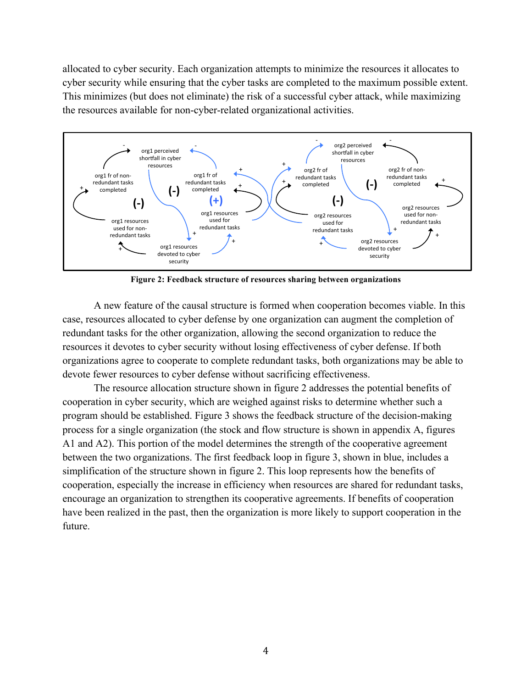allocated to cyber security. Each organization attempts to minimize the resources it allocates to cyber security while ensuring that the cyber tasks are completed to the maximum possible extent. This minimizes (but does not eliminate) the risk of a successful cyber attack, while maximizing the resources available for non-cyber-related organizational activities.



**Figure 2: Feedback structure of resources sharing between organizations**

A new feature of the causal structure is formed when cooperation becomes viable. In this case, resources allocated to cyber defense by one organization can augment the completion of redundant tasks for the other organization, allowing the second organization to reduce the resources it devotes to cyber security without losing effectiveness of cyber defense. If both organizations agree to cooperate to complete redundant tasks, both organizations may be able to devote fewer resources to cyber defense without sacrificing effectiveness.

The resource allocation structure shown in figure 2 addresses the potential benefits of cooperation in cyber security, which are weighed against risks to determine whether such a program should be established. Figure 3 shows the feedback structure of the decision-making process for a single organization (the stock and flow structure is shown in appendix A, figures A1 and A2). This portion of the model determines the strength of the cooperative agreement between the two organizations. The first feedback loop in figure 3, shown in blue, includes a simplification of the structure shown in figure 2. This loop represents how the benefits of cooperation, especially the increase in efficiency when resources are shared for redundant tasks, encourage an organization to strengthen its cooperative agreements. If benefits of cooperation have been realized in the past, then the organization is more likely to support cooperation in the future.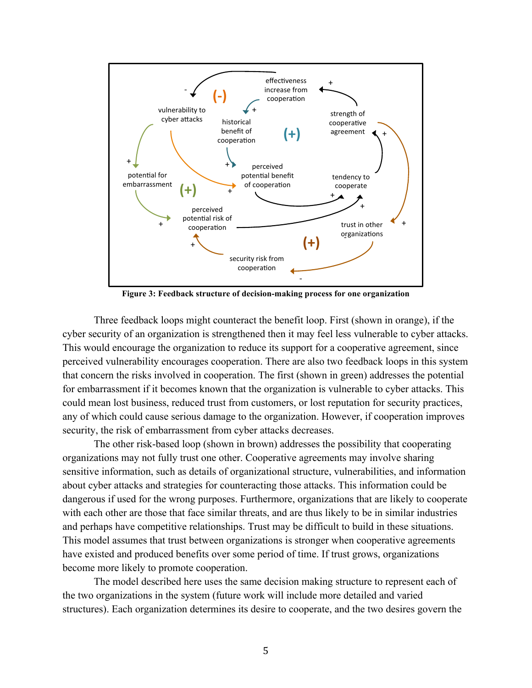

**Figure 3: Feedback structure of decision-making process for one organization**

Three feedback loops might counteract the benefit loop. First (shown in orange), if the cyber security of an organization is strengthened then it may feel less vulnerable to cyber attacks. This would encourage the organization to reduce its support for a cooperative agreement, since perceived vulnerability encourages cooperation. There are also two feedback loops in this system that concern the risks involved in cooperation. The first (shown in green) addresses the potential for embarrassment if it becomes known that the organization is vulnerable to cyber attacks. This could mean lost business, reduced trust from customers, or lost reputation for security practices, any of which could cause serious damage to the organization. However, if cooperation improves security, the risk of embarrassment from cyber attacks decreases.

The other risk-based loop (shown in brown) addresses the possibility that cooperating organizations may not fully trust one other. Cooperative agreements may involve sharing sensitive information, such as details of organizational structure, vulnerabilities, and information about cyber attacks and strategies for counteracting those attacks. This information could be dangerous if used for the wrong purposes. Furthermore, organizations that are likely to cooperate with each other are those that face similar threats, and are thus likely to be in similar industries and perhaps have competitive relationships. Trust may be difficult to build in these situations. This model assumes that trust between organizations is stronger when cooperative agreements have existed and produced benefits over some period of time. If trust grows, organizations become more likely to promote cooperation.

The model described here uses the same decision making structure to represent each of the two organizations in the system (future work will include more detailed and varied structures). Each organization determines its desire to cooperate, and the two desires govern the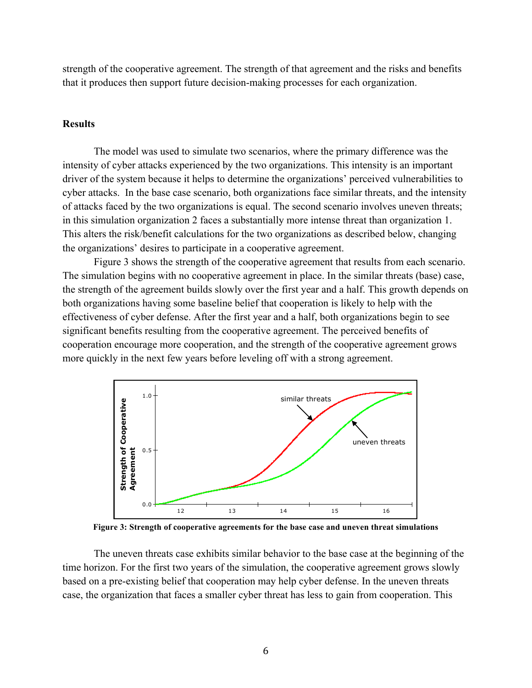strength of the cooperative agreement. The strength of that agreement and the risks and benefits that it produces then support future decision-making processes for each organization.

## **Results**

The model was used to simulate two scenarios, where the primary difference was the intensity of cyber attacks experienced by the two organizations. This intensity is an important driver of the system because it helps to determine the organizations' perceived vulnerabilities to cyber attacks. In the base case scenario, both organizations face similar threats, and the intensity of attacks faced by the two organizations is equal. The second scenario involves uneven threats; in this simulation organization 2 faces a substantially more intense threat than organization 1. This alters the risk/benefit calculations for the two organizations as described below, changing the organizations' desires to participate in a cooperative agreement.

Figure 3 shows the strength of the cooperative agreement that results from each scenario. The simulation begins with no cooperative agreement in place. In the similar threats (base) case, the strength of the agreement builds slowly over the first year and a half. This growth depends on both organizations having some baseline belief that cooperation is likely to help with the effectiveness of cyber defense. After the first year and a half, both organizations begin to see significant benefits resulting from the cooperative agreement. The perceived benefits of cooperation encourage more cooperation, and the strength of the cooperative agreement grows more quickly in the next few years before leveling off with a strong agreement.



**Figure 3: Strength of cooperative agreements for the base case and uneven threat simulations**

The uneven threats case exhibits similar behavior to the base case at the beginning of the time horizon. For the first two years of the simulation, the cooperative agreement grows slowly based on a pre-existing belief that cooperation may help cyber defense. In the uneven threats case, the organization that faces a smaller cyber threat has less to gain from cooperation. This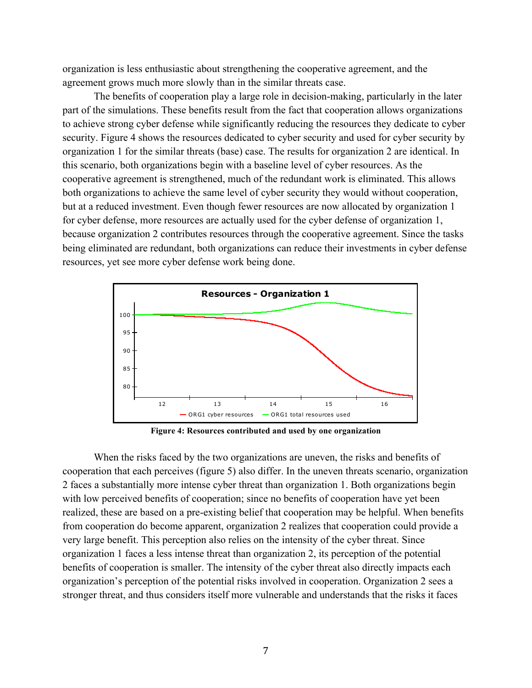organization is less enthusiastic about strengthening the cooperative agreement, and the agreement grows much more slowly than in the similar threats case.

The benefits of cooperation play a large role in decision-making, particularly in the later part of the simulations. These benefits result from the fact that cooperation allows organizations to achieve strong cyber defense while significantly reducing the resources they dedicate to cyber security. Figure 4 shows the resources dedicated to cyber security and used for cyber security by organization 1 for the similar threats (base) case. The results for organization 2 are identical. In this scenario, both organizations begin with a baseline level of cyber resources. As the cooperative agreement is strengthened, much of the redundant work is eliminated. This allows both organizations to achieve the same level of cyber security they would without cooperation, but at a reduced investment. Even though fewer resources are now allocated by organization 1 for cyber defense, more resources are actually used for the cyber defense of organization 1, because organization 2 contributes resources through the cooperative agreement. Since the tasks being eliminated are redundant, both organizations can reduce their investments in cyber defense resources, yet see more cyber defense work being done.



**Figure 4: Resources contributed and used by one organization**

When the risks faced by the two organizations are uneven, the risks and benefits of cooperation that each perceives (figure 5) also differ. In the uneven threats scenario, organization 2 faces a substantially more intense cyber threat than organization 1. Both organizations begin with low perceived benefits of cooperation; since no benefits of cooperation have yet been realized, these are based on a pre-existing belief that cooperation may be helpful. When benefits from cooperation do become apparent, organization 2 realizes that cooperation could provide a very large benefit. This perception also relies on the intensity of the cyber threat. Since organization 1 faces a less intense threat than organization 2, its perception of the potential benefits of cooperation is smaller. The intensity of the cyber threat also directly impacts each organization's perception of the potential risks involved in cooperation. Organization 2 sees a stronger threat, and thus considers itself more vulnerable and understands that the risks it faces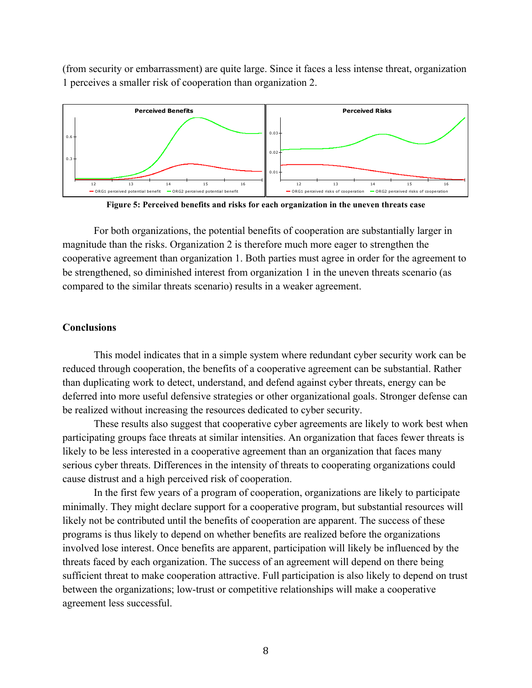(from security or embarrassment) are quite large. Since it faces a less intense threat, organization 1 perceives a smaller risk of cooperation than organization 2.



**Figure 5: Perceived benefits and risks for each organization in the uneven threats case**

For both organizations, the potential benefits of cooperation are substantially larger in magnitude than the risks. Organization 2 is therefore much more eager to strengthen the cooperative agreement than organization 1. Both parties must agree in order for the agreement to be strengthened, so diminished interest from organization 1 in the uneven threats scenario (as compared to the similar threats scenario) results in a weaker agreement.

#### **Conclusions**

This model indicates that in a simple system where redundant cyber security work can be reduced through cooperation, the benefits of a cooperative agreement can be substantial. Rather than duplicating work to detect, understand, and defend against cyber threats, energy can be deferred into more useful defensive strategies or other organizational goals. Stronger defense can be realized without increasing the resources dedicated to cyber security.

These results also suggest that cooperative cyber agreements are likely to work best when participating groups face threats at similar intensities. An organization that faces fewer threats is likely to be less interested in a cooperative agreement than an organization that faces many serious cyber threats. Differences in the intensity of threats to cooperating organizations could cause distrust and a high perceived risk of cooperation.

In the first few years of a program of cooperation, organizations are likely to participate minimally. They might declare support for a cooperative program, but substantial resources will likely not be contributed until the benefits of cooperation are apparent. The success of these programs is thus likely to depend on whether benefits are realized before the organizations involved lose interest. Once benefits are apparent, participation will likely be influenced by the threats faced by each organization. The success of an agreement will depend on there being sufficient threat to make cooperation attractive. Full participation is also likely to depend on trust between the organizations; low-trust or competitive relationships will make a cooperative agreement less successful.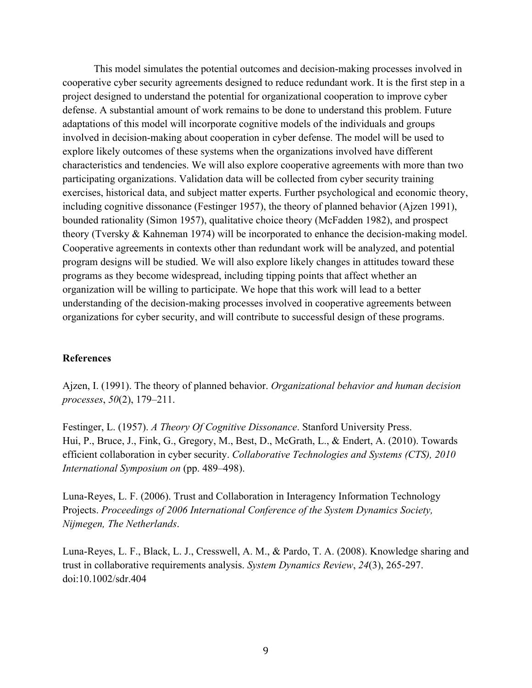This model simulates the potential outcomes and decision-making processes involved in cooperative cyber security agreements designed to reduce redundant work. It is the first step in a project designed to understand the potential for organizational cooperation to improve cyber defense. A substantial amount of work remains to be done to understand this problem. Future adaptations of this model will incorporate cognitive models of the individuals and groups involved in decision-making about cooperation in cyber defense. The model will be used to explore likely outcomes of these systems when the organizations involved have different characteristics and tendencies. We will also explore cooperative agreements with more than two participating organizations. Validation data will be collected from cyber security training exercises, historical data, and subject matter experts. Further psychological and economic theory, including cognitive dissonance (Festinger 1957), the theory of planned behavior (Ajzen 1991), bounded rationality (Simon 1957), qualitative choice theory (McFadden 1982), and prospect theory (Tversky & Kahneman 1974) will be incorporated to enhance the decision-making model. Cooperative agreements in contexts other than redundant work will be analyzed, and potential program designs will be studied. We will also explore likely changes in attitudes toward these programs as they become widespread, including tipping points that affect whether an organization will be willing to participate. We hope that this work will lead to a better understanding of the decision-making processes involved in cooperative agreements between organizations for cyber security, and will contribute to successful design of these programs.

## **References**

Ajzen, I. (1991). The theory of planned behavior. *Organizational behavior and human decision processes*, *50*(2), 179–211.

Festinger, L. (1957). *A Theory Of Cognitive Dissonance*. Stanford University Press. Hui, P., Bruce, J., Fink, G., Gregory, M., Best, D., McGrath, L., & Endert, A. (2010). Towards efficient collaboration in cyber security. *Collaborative Technologies and Systems (CTS), 2010 International Symposium on* (pp. 489–498).

Luna-Reyes, L. F. (2006). Trust and Collaboration in Interagency Information Technology Projects. *Proceedings of 2006 International Conference of the System Dynamics Society, Nijmegen, The Netherlands*.

Luna-Reyes, L. F., Black, L. J., Cresswell, A. M., & Pardo, T. A. (2008). Knowledge sharing and trust in collaborative requirements analysis. *System Dynamics Review*, *24*(3), 265-297. doi:10.1002/sdr.404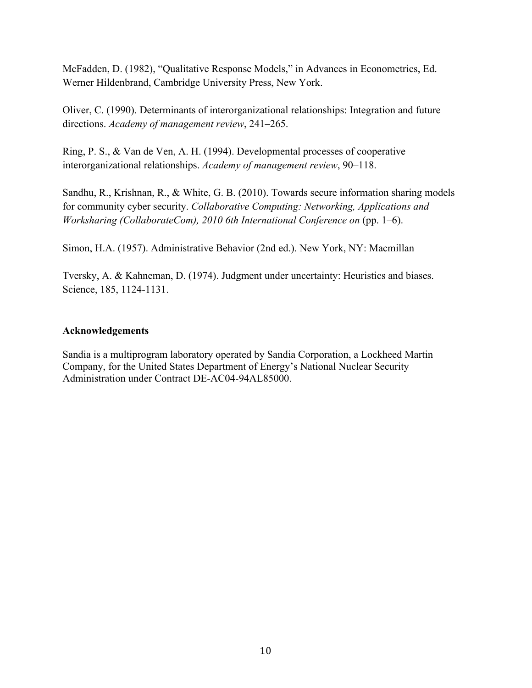McFadden, D. (1982), "Qualitative Response Models," in Advances in Econometrics, Ed. Werner Hildenbrand, Cambridge University Press, New York.

Oliver, C. (1990). Determinants of interorganizational relationships: Integration and future directions. *Academy of management review*, 241–265.

Ring, P. S., & Van de Ven, A. H. (1994). Developmental processes of cooperative interorganizational relationships. *Academy of management review*, 90–118.

Sandhu, R., Krishnan, R., & White, G. B. (2010). Towards secure information sharing models for community cyber security. *Collaborative Computing: Networking, Applications and Worksharing (CollaborateCom), 2010 6th International Conference on* (pp. 1–6).

Simon, H.A. (1957). Administrative Behavior (2nd ed.). New York, NY: Macmillan

Tversky, A. & Kahneman, D. (1974). Judgment under uncertainty: Heuristics and biases. Science, 185, 1124-1131.

# **Acknowledgements**

Sandia is a multiprogram laboratory operated by Sandia Corporation, a Lockheed Martin Company, for the United States Department of Energy's National Nuclear Security Administration under Contract DE-AC04-94AL85000.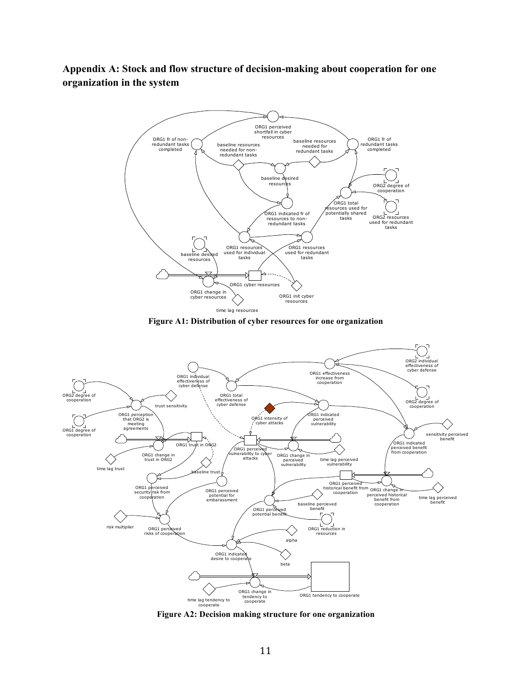**Appendix A: Stock and flow structure of decision-making about cooperation for one organization in the system**



**Figure A1: Distribution of cyber resources for one organization**



**Figure A2: Decision making structure for one organization**